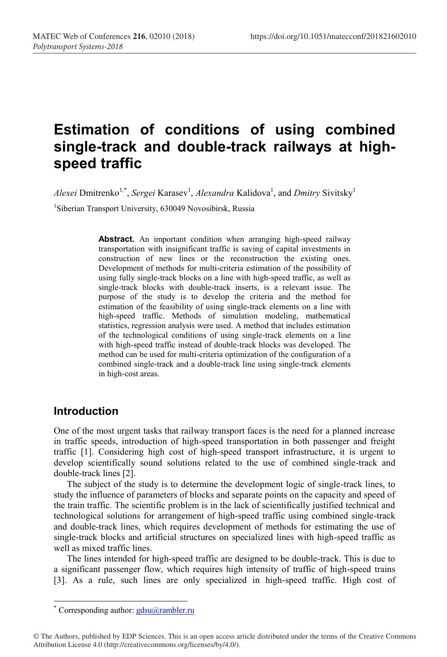# **Estimation of conditions of using combined single-track and double-track railways at highspeed traffic**

*Alexei* Dmitrenko<sup>1,\*</sup>, *Sergei Karasev<sup>1</sup>, Alexandra Kalidova<sup>1</sup>, and Dmitry Sivitsky<sup>1</sup>* <sup>1</sup>Siberian Transport University, 630049 Novosibirsk, Russia

> **Abstract.** An important condition when arranging high-speed railway transportation with insignificant traffic is saving of capital investments in construction of new lines or the reconstruction the existing ones. Development of methods for multi-criteria estimation of the possibility of using fully single-track blocks on a line with high-speed traffic, as well as single-track blocks with double-track inserts, is a relevant issue. The purpose of the study is to develop the criteria and the method for estimation of the feasibility of using single-track elements on a line with high-speed traffic. Methods of simulation modeling, mathematical statistics, regression analysis were used. A method that includes estimation of the technological conditions of using single-track elements on a line with high-speed traffic instead of double-track blocks was developed. The method can be used for multi-criteria optimization of the configuration of a combined single-track and a double-track line using single-track elements in high-cost areas.

## **Introduction**

One of the most urgent tasks that railway transport faces is the need for a planned increase in traffic speeds, introduction of high-speed transportation in both passenger and freight traffic [1]. Considering high cost of high-speed transport infrastructure, it is urgent to develop scientifically sound solutions related to the use of combined single-track and double-track lines [2].

The subject of the study is to determine the development logic of single-track lines, to study the influence of parameters of blocks and separate points on the capacity and speed of the train traffic. The scientific problem is in the lack of scientifically justified technical and technological solutions for arrangement of high-speed traffic using combined single-track and double-track lines, which requires development of methods for estimating the use of single-track blocks and artificial structures on specialized lines with high-speed traffic as well as mixed traffic lines.

The lines intended for high-speed traffic are designed to be double-track. This is due to a significant passenger flow, which requires high intensity of traffic of high-speed trains [3]. As a rule, such lines are only specialized in high-speed traffic. High cost of

<sup>\*</sup> Corresponding author:  $gdsu(a)$ rambler.ru

<sup>©</sup> The Authors, published by EDP Sciences. This is an open access article distributed under the terms of the Creative Commons Attribution License 4.0 (http://creativecommons.org/licenses/by/4.0/).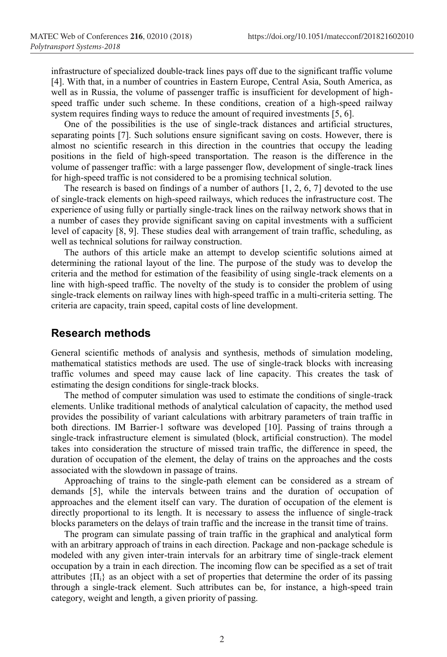infrastructure of specialized double-track lines pays off due to the significant traffic volume [4]. With that, in a number of countries in Eastern Europe, Central Asia, South America, as well as in Russia, the volume of passenger traffic is insufficient for development of highspeed traffic under such scheme. In these conditions, creation of a high-speed railway system requires finding ways to reduce the amount of required investments [5, 6].

One of the possibilities is the use of single-track distances and artificial structures, separating points [7]. Such solutions ensure significant saving on costs. However, there is almost no scientific research in this direction in the countries that occupy the leading positions in the field of high-speed transportation. The reason is the difference in the volume of passenger traffic: with a large passenger flow, development of single-track lines for high-speed traffic is not considered to be a promising technical solution.

The research is based on findings of a number of authors [1, 2, 6, 7] devoted to the use of single-track elements on high-speed railways, which reduces the infrastructure cost. The experience of using fully or partially single-track lines on the railway network shows that in a number of cases they provide significant saving on capital investments with a sufficient level of capacity [8, 9]. These studies deal with arrangement of train traffic, scheduling, as well as technical solutions for railway construction.

The authors of this article make an attempt to develop scientific solutions aimed at determining the rational layout of the line. The purpose of the study was to develop the criteria and the method for estimation of the feasibility of using single-track elements on a line with high-speed traffic. The novelty of the study is to consider the problem of using single-track elements on railway lines with high-speed traffic in a multi-criteria setting. The criteria are capacity, train speed, capital costs of line development.

#### **Research methods**

General scientific methods of analysis and synthesis, methods of simulation modeling, mathematical statistics methods are used. The use of single-track blocks with increasing traffic volumes and speed may cause lack of line capacity. This creates the task of estimating the design conditions for single-track blocks.

The method of computer simulation was used to estimate the conditions of single-track elements. Unlike traditional methods of analytical calculation of capacity, the method used provides the possibility of variant calculations with arbitrary parameters of train traffic in both directions. IM Barrier-1 software was developed [10]. Passing of trains through a single-track infrastructure element is simulated (block, artificial construction). The model takes into consideration the structure of missed train traffic, the difference in speed, the duration of occupation of the element, the delay of trains on the approaches and the costs associated with the slowdown in passage of trains.

Approaching of trains to the single-path element can be considered as a stream of demands [5], while the intervals between trains and the duration of occupation of approaches and the element itself can vary. The duration of occupation of the element is directly proportional to its length. It is necessary to assess the influence of single-track blocks parameters on the delays of train traffic and the increase in the transit time of trains.

The program can simulate passing of train traffic in the graphical and analytical form with an arbitrary approach of trains in each direction. Package and non-package schedule is modeled with any given inter-train intervals for an arbitrary time of single-track element occupation by a train in each direction. The incoming flow can be specified as a set of trait attributes  $\{\Pi_i\}$  as an object with a set of properties that determine the order of its passing through a single-track element. Such attributes can be, for instance, a high-speed train category, weight and length, a given priority of passing.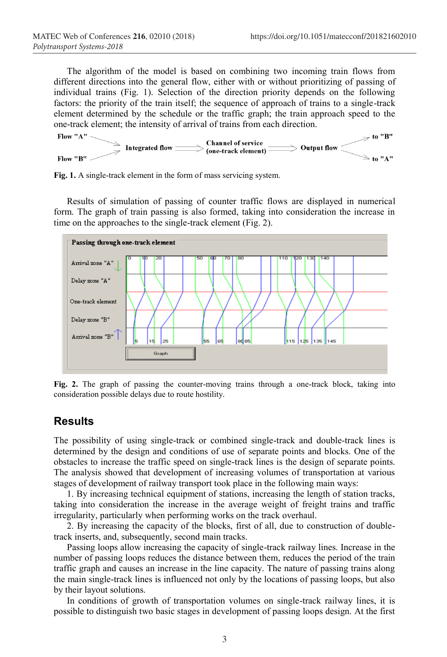The algorithm of the model is based on combining two incoming train flows from different directions into the general flow, either with or without prioritizing of passing of individual trains (Fig. 1). Selection of the direction priority depends on the following factors: the priority of the train itself; the sequence of approach of trains to a single-track element determined by the schedule or the traffic graph; the train approach speed to the one-track element; the intensity of arrival of trains from each direction. Flow " $A$ "  $\sim$ 





Results of simulation of passing of counter traffic flows are displayed in numerical form. The graph of train passing is also formed, taking into consideration the increase in time on the approaches to the single-track element (Fig. 2).



**Fig. 2.** The graph of passing the counter-moving trains through a one-track block, taking into consideration possible delays due to route hostility.

### **Results**

The possibility of using single-track or combined single-track and double-track lines is determined by the design and conditions of use of separate points and blocks. One of the obstacles to increase the traffic speed on single-track lines is the design of separate points. The analysis showed that development of increasing volumes of transportation at various stages of development of railway transport took place in the following main ways:

1. By increasing technical equipment of stations, increasing the length of station tracks, taking into consideration the increase in the average weight of freight trains and traffic irregularity, particularly when performing works on the track overhaul.

2. By increasing the capacity of the blocks, first of all, due to construction of doubletrack inserts, and, subsequently, second main tracks.

Passing loops allow increasing the capacity of single-track railway lines. Increase in the number of passing loops reduces the distance between them, reduces the period of the train traffic graph and causes an increase in the line capacity. The nature of passing trains along the main single-track lines is influenced not only by the locations of passing loops, but also by their layout solutions.

In conditions of growth of transportation volumes on single-track railway lines, it is possible to distinguish two basic stages in development of passing loops design. At the first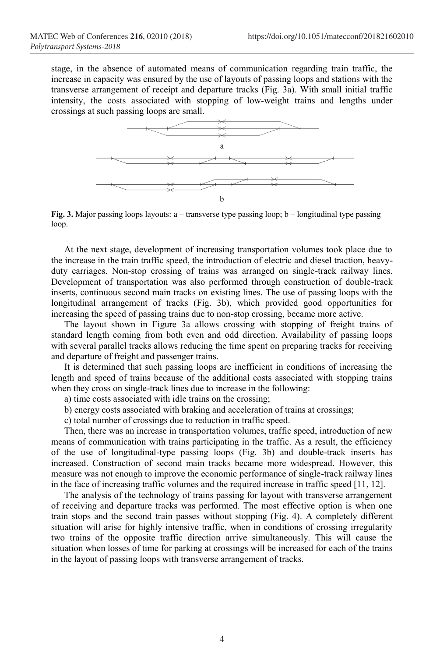stage, in the absence of automated means of communication regarding train traffic, the increase in capacity was ensured by the use of layouts of passing loops and stations with the transverse arrangement of receipt and departure tracks (Fig. 3a). With small initial traffic intensity, the costs associated with stopping of low-weight trains and lengths under crossings at such passing loops are small.



**Fig. 3.** Major passing loops layouts: a – transverse type passing loop; b – longitudinal type passing loop.

At the next stage, development of increasing transportation volumes took place due to the increase in the train traffic speed, the introduction of electric and diesel traction, heavyduty carriages. Non-stop crossing of trains was arranged on single-track railway lines. Development of transportation was also performed through construction of double-track inserts, continuous second main tracks on existing lines. The use of passing loops with the longitudinal arrangement of tracks (Fig. 3b), which provided good opportunities for increasing the speed of passing trains due to non-stop crossing, became more active.

The layout shown in Figure 3a allows crossing with stopping of freight trains of standard length coming from both even and odd direction. Availability of passing loops with several parallel tracks allows reducing the time spent on preparing tracks for receiving and departure of freight and passenger trains.

It is determined that such passing loops are inefficient in conditions of increasing the length and speed of trains because of the additional costs associated with stopping trains when they cross on single-track lines due to increase in the following:

- a) time costs associated with idle trains on the crossing;
- b) energy costs associated with braking and acceleration of trains at crossings;
- c) total number of crossings due to reduction in traffic speed.

Then, there was an increase in transportation volumes, traffic speed, introduction of new means of communication with trains participating in the traffic. As a result, the efficiency of the use of longitudinal-type passing loops (Fig. 3b) and double-track inserts has increased. Construction of second main tracks became more widespread. However, this measure was not enough to improve the economic performance of single-track railway lines in the face of increasing traffic volumes and the required increase in traffic speed [11, 12].

The analysis of the technology of trains passing for layout with transverse arrangement of receiving and departure tracks was performed. The most effective option is when one train stops and the second train passes without stopping (Fig. 4). A completely different situation will arise for highly intensive traffic, when in conditions of crossing irregularity two trains of the opposite traffic direction arrive simultaneously. This will cause the situation when losses of time for parking at crossings will be increased for each of the trains in the layout of passing loops with transverse arrangement of tracks.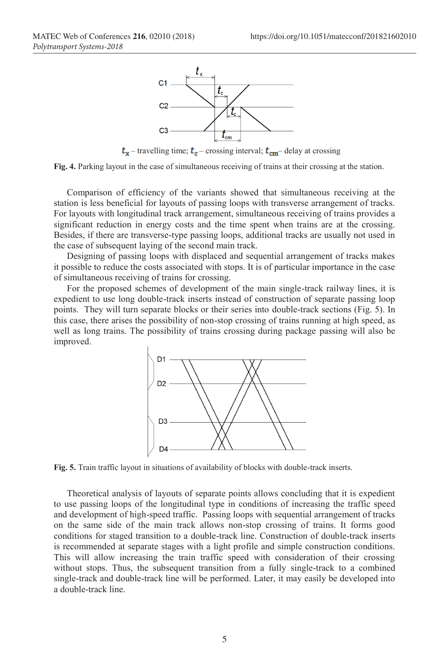

 $t_{\rm w}$  – travelling time;  $t_{\rm e}$  – crossing interval;  $t_{\rm cm}$ – delay at crossing

**Fig. 4.** Parking layout in the case of simultaneous receiving of trains at their crossing at the station.

Comparison of efficiency of the variants showed that simultaneous receiving at the station is less beneficial for layouts of passing loops with transverse arrangement of tracks. For layouts with longitudinal track arrangement, simultaneous receiving of trains provides a significant reduction in energy costs and the time spent when trains are at the crossing. Besides, if there are transverse-type passing loops, additional tracks are usually not used in the case of subsequent laying of the second main track.

Designing of passing loops with displaced and sequential arrangement of tracks makes it possible to reduce the costs associated with stops. It is of particular importance in the case of simultaneous receiving of trains for crossing.

For the proposed schemes of development of the main single-track railway lines, it is expedient to use long double-track inserts instead of construction of separate passing loop points. They will turn separate blocks or their series into double-track sections (Fig. 5). In this case, there arises the possibility of non-stop crossing of trains running at high speed, as well as long trains. The possibility of trains crossing during package passing will also be improved.



**Fig. 5.** Train traffic layout in situations of availability of blocks with double-track inserts.

Theoretical analysis of layouts of separate points allows concluding that it is expedient to use passing loops of the longitudinal type in conditions of increasing the traffic speed and development of high-speed traffic. Passing loops with sequential arrangement of tracks on the same side of the main track allows non-stop crossing of trains. It forms good conditions for staged transition to a double-track line. Construction of double-track inserts is recommended at separate stages with a light profile and simple construction conditions. This will allow increasing the train traffic speed with consideration of their crossing without stops. Thus, the subsequent transition from a fully single-track to a combined single-track and double-track line will be performed. Later, it may easily be developed into a double-track line.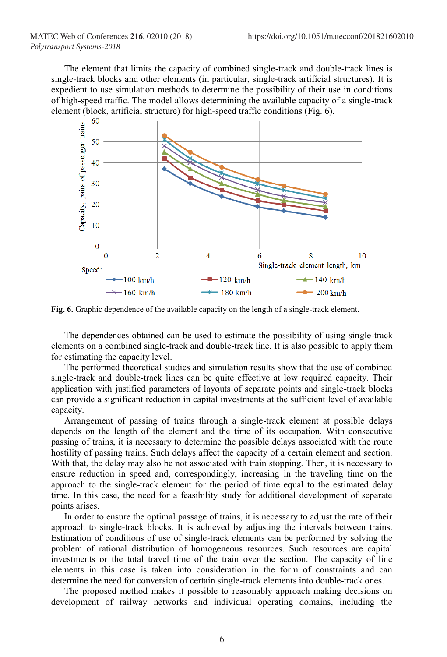The element that limits the capacity of combined single-track and double-track lines is single-track blocks and other elements (in particular, single-track artificial structures). It is expedient to use simulation methods to determine the possibility of their use in conditions of high-speed traffic. The model allows determining the available capacity of a single-track element (block, artificial structure) for high-speed traffic conditions (Fig. 6).



**Fig. 6.** Graphic dependence of the available capacity on the length of a single-track element.

The dependences obtained can be used to estimate the possibility of using single-track elements on a combined single-track and double-track line. It is also possible to apply them for estimating the capacity level.

The performed theoretical studies and simulation results show that the use of combined single-track and double-track lines can be quite effective at low required capacity. Their application with justified parameters of layouts of separate points and single-track blocks can provide a significant reduction in capital investments at the sufficient level of available capacity.

Arrangement of passing of trains through a single-track element at possible delays depends on the length of the element and the time of its occupation. With consecutive passing of trains, it is necessary to determine the possible delays associated with the route hostility of passing trains. Such delays affect the capacity of a certain element and section. With that, the delay may also be not associated with train stopping. Then, it is necessary to ensure reduction in speed and, correspondingly, increasing in the traveling time on the approach to the single-track element for the period of time equal to the estimated delay time. In this case, the need for a feasibility study for additional development of separate points arises.

In order to ensure the optimal passage of trains, it is necessary to adjust the rate of their approach to single-track blocks. It is achieved by adjusting the intervals between trains. Estimation of conditions of use of single-track elements can be performed by solving the problem of rational distribution of homogeneous resources. Such resources are capital investments or the total travel time of the train over the section. The capacity of line elements in this case is taken into consideration in the form of constraints and can determine the need for conversion of certain single-track elements into double-track ones.

The proposed method makes it possible to reasonably approach making decisions on development of railway networks and individual operating domains, including the